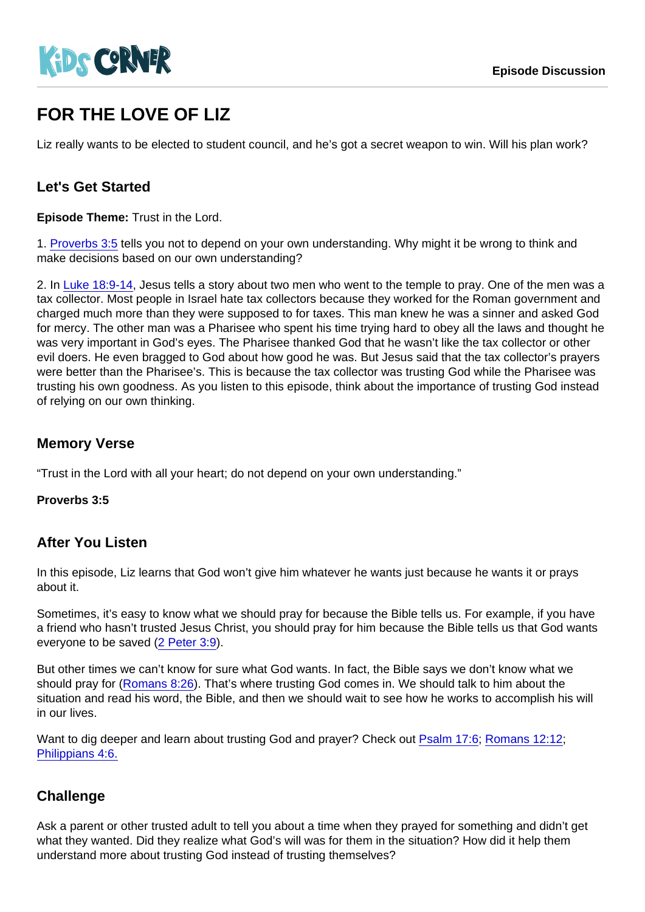# FOR THE LOVE OF LIZ

Liz really wants to be elected to student council, and he's got a secret weapon to win. Will his plan work?

### Let's Get Started

Episode Theme: Trust in the Lord.

1. [Proverbs 3:5](https://www.biblegateway.com/passage/?search=Proverbs+3:5) tells you not to depend on your own understanding. Why might it be wrong to think and make decisions based on our own understanding?

2. In [Luke 18:9-14,](https://www.biblegateway.com/passage/?search=Luke+18:9-14) Jesus tells a story about two men who went to the temple to pray. One of the men was a tax collector. Most people in Israel hate tax collectors because they worked for the Roman government and charged much more than they were supposed to for taxes. This man knew he was a sinner and asked God for mercy. The other man was a Pharisee who spent his time trying hard to obey all the laws and thought he was very important in God's eyes. The Pharisee thanked God that he wasn't like the tax collector or other evil doers. He even bragged to God about how good he was. But Jesus said that the tax collector's prayers were better than the Pharisee's. This is because the tax collector was trusting God while the Pharisee was trusting his own goodness. As you listen to this episode, think about the importance of trusting God instead of relying on our own thinking.

#### Memory Verse

"Trust in the Lord with all your heart; do not depend on your own understanding."

Proverbs 3:5

#### After You Listen

In this episode, Liz learns that God won't give him whatever he wants just because he wants it or prays about it.

Sometimes, it's easy to know what we should pray for because the Bible tells us. For example, if you have a friend who hasn't trusted Jesus Christ, you should pray for him because the Bible tells us that God wants everyone to be saved ([2 Peter 3:9\)](https://www.biblegateway.com/passage/?search=2+Peter+3:9).

But other times we can't know for sure what God wants. In fact, the Bible says we don't know what we should pray for [\(Romans 8:26\)](https://www.biblegateway.com/passage/?search=Romans+8:26). That's where trusting God comes in. We should talk to him about the situation and read his word, the Bible, and then we should wait to see how he works to accomplish his will in our lives.

Want to dig deeper and learn about trusting God and prayer? Check out [Psalm 17:6;](https://www.biblegateway.com/passage/?search=Psalm+17:6) [Romans 12:12](https://www.biblegateway.com/passage/?search=Romans+12:12); [Philippians 4:6.](https://www.biblegateway.com/passage/?search=Philippians+4:6)

#### **Challenge**

Ask a parent or other trusted adult to tell you about a time when they prayed for something and didn't get what they wanted. Did they realize what God's will was for them in the situation? How did it help them understand more about trusting God instead of trusting themselves?